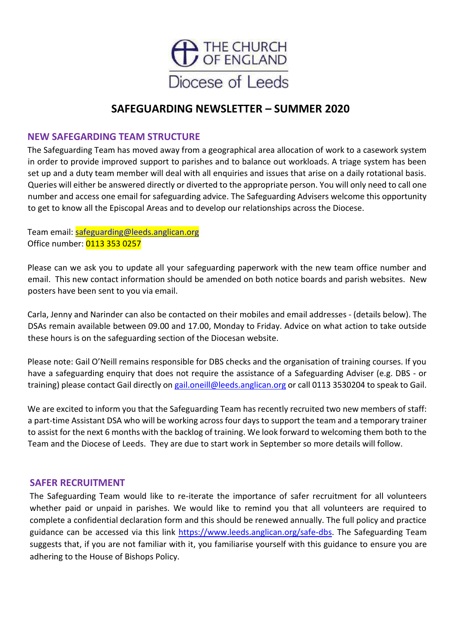

# **SAFEGUARDING NEWSLETTER – SUMMER 2020**

## **NEW SAFEGARDING TEAM STRUCTURE**

The Safeguarding Team has moved away from a geographical area allocation of work to a casework system in order to provide improved support to parishes and to balance out workloads. A triage system has been set up and a duty team member will deal with all enquiries and issues that arise on a daily rotational basis. Queries will either be answered directly or diverted to the appropriate person. You will only need to call one number and access one email for safeguarding advice. The Safeguarding Advisers welcome this opportunity to get to know all the Episcopal Areas and to develop our relationships across the Diocese.

Team email: [safeguarding@leeds.anglican.org](mailto:safeguarding@leeds.anglican.org) Office number: 0113 353 0257

Please can we ask you to update all your safeguarding paperwork with the new team office number and email. This new contact information should be amended on both notice boards and parish websites. New posters have been sent to you via email.

Carla, Jenny and Narinder can also be contacted on their mobiles and email addresses - (details below). The DSAs remain available between 09.00 and 17.00, Monday to Friday. Advice on what action to take outside these hours is on the safeguarding section of the Diocesan website.

Please note: Gail O'Neill remains responsible for DBS checks and the organisation of training courses. If you have a safeguarding enquiry that does not require the assistance of a Safeguarding Adviser (e.g. DBS - or training) please contact Gail directly o[n gail.oneill@leeds.anglican.org](mailto:gail.oneill@leeds.anglican.org) or call 0113 3530204 to speak to Gail.

We are excited to inform you that the Safeguarding Team has recently recruited two new members of staff: a part-time Assistant DSA who will be working across four days to support the team and a temporary trainer to assist for the next 6 months with the backlog of training. We look forward to welcoming them both to the Team and the Diocese of Leeds. They are due to start work in September so more details will follow.

#### **SAFER RECRUITMENT**

The Safeguarding Team would like to re-iterate the importance of safer recruitment for all volunteers whether paid or unpaid in parishes. We would like to remind you that all volunteers are required to complete a confidential declaration form and this should be renewed annually. The full policy and practice guidance can be accessed via this link [https://www.leeds.anglican.org/safe-dbs.](https://www.leeds.anglican.org/safe-dbs) The Safeguarding Team suggests that, if you are not familiar with it, you familiarise yourself with this guidance to ensure you are adhering to the House of Bishops Policy.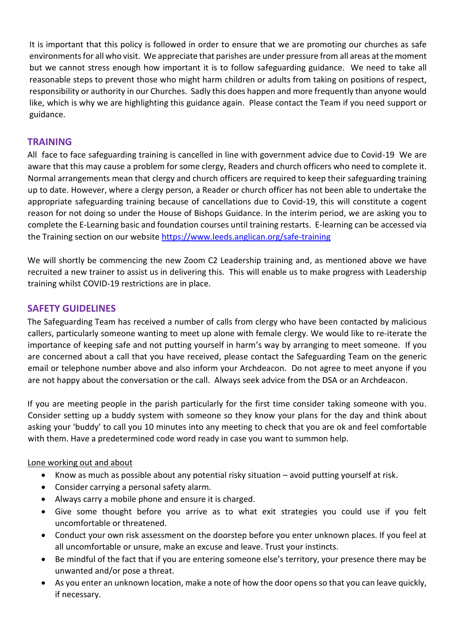It is important that this policy is followed in order to ensure that we are promoting our churches as safe environmentsfor all who visit. We appreciate that parishes are under pressure from all areas at the moment but we cannot stress enough how important it is to follow safeguarding guidance. We need to take all reasonable steps to prevent those who might harm children or adults from taking on positions of respect, responsibility or authority in our Churches. Sadly this does happen and more frequently than anyone would like, which is why we are highlighting this guidance again. Please contact the Team if you need support or guidance.

# **TRAINING**

All face to face safeguarding training is cancelled in line with government advice due to Covid-19 We are aware that this may cause a problem for some clergy, Readers and church officers who need to complete it. Normal arrangements mean that clergy and church officers are required to keep their safeguarding training up to date. However, where a clergy person, a Reader or church officer has not been able to undertake the appropriate safeguarding training because of cancellations due to Covid-19, this will constitute a cogent reason for not doing so under the House of Bishops Guidance. In the interim period, we are asking you to complete the E-Learning basic and foundation courses until training restarts. E-learning can be accessed via the Training section on our website<https://www.leeds.anglican.org/safe-training>

We will shortly be commencing the new Zoom C2 Leadership training and, as mentioned above we have recruited a new trainer to assist us in delivering this. This will enable us to make progress with Leadership training whilst COVID-19 restrictions are in place.

## **SAFETY GUIDELINES**

The Safeguarding Team has received a number of calls from clergy who have been contacted by malicious callers, particularly someone wanting to meet up alone with female clergy. We would like to re-iterate the importance of keeping safe and not putting yourself in harm's way by arranging to meet someone. If you are concerned about a call that you have received, please contact the Safeguarding Team on the generic email or telephone number above and also inform your Archdeacon. Do not agree to meet anyone if you are not happy about the conversation or the call. Always seek advice from the DSA or an Archdeacon.

If you are meeting people in the parish particularly for the first time consider taking someone with you. Consider setting up a buddy system with someone so they know your plans for the day and think about asking your 'buddy' to call you 10 minutes into any meeting to check that you are ok and feel comfortable with them. Have a predetermined code word ready in case you want to summon help.

#### Lone working out and about

- Know as much as possible about any potential risky situation avoid putting yourself at risk.
- Consider carrying a personal safety alarm.
- Always carry a mobile phone and ensure it is charged.
- Give some thought before you arrive as to what exit strategies you could use if you felt uncomfortable or threatened.
- Conduct your own risk assessment on the doorstep before you enter unknown places. If you feel at all uncomfortable or unsure, make an excuse and leave. Trust your instincts.
- Be mindful of the fact that if you are entering someone else's territory, your presence there may be unwanted and/or pose a threat.
- As you enter an unknown location, make a note of how the door opens so that you can leave quickly, if necessary.